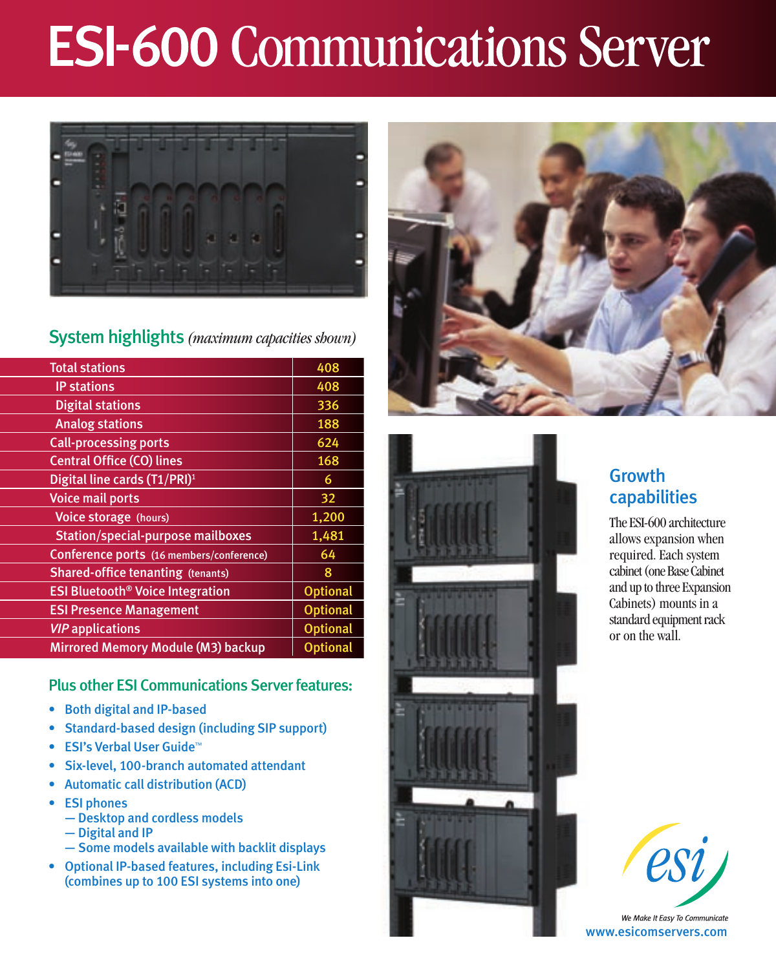# **ESI-600 Communications Server**



### System highlights *(maximum capacities shown)*

| <b>Total stations</b>                              | 408             |
|----------------------------------------------------|-----------------|
| <b>IP stations</b>                                 | 408             |
| <b>Digital stations</b>                            | 336             |
| <b>Analog stations</b>                             | 188             |
| <b>Call-processing ports</b>                       | 624             |
| <b>Central Office (CO) lines</b>                   | 168             |
| Digital line cards (T1/PRI) <sup>1</sup>           | 6               |
| <b>Voice mail ports</b>                            | 32              |
| Voice storage (hours)                              | 1,200           |
| <b>Station/special-purpose mailboxes</b>           | 1,481           |
| Conference ports (16 members/conference)           | 64              |
| <b>Shared-office tenanting (tenants)</b>           | 8               |
| <b>ESI Bluetooth<sup>®</sup> Voice Integration</b> | <b>Optional</b> |
| <b>ESI Presence Management</b>                     | <b>Optional</b> |
| <b>VIP</b> applications                            | <b>Optional</b> |
| Mirrored Memory Module (M3) backup                 | <b>Optional</b> |
|                                                    |                 |

### Plus other ESI Communications Server features:

- • Both digital and IP-based
- • Standard-based design (including SIP support)
- ESI's Verbal User Guide™
- Six-level, 100-branch automated attendant
- • Automatic call distribution (ACD)
- • ESI phones
	- Desktop and cordless models
	- Digital and IP
	- Some models available with backlit displays
- • Optional IP-based features, including Esi-Link (combines up to 100 ESI systems into one)





## **Growth** capabilities

The ESI-600 architecture allows expansion when required. Each system cabinet (one Base Cabinet and up to three Expansion Cabinets) mounts in a standard equipment rack or on the wall.



www.esicomservers.com